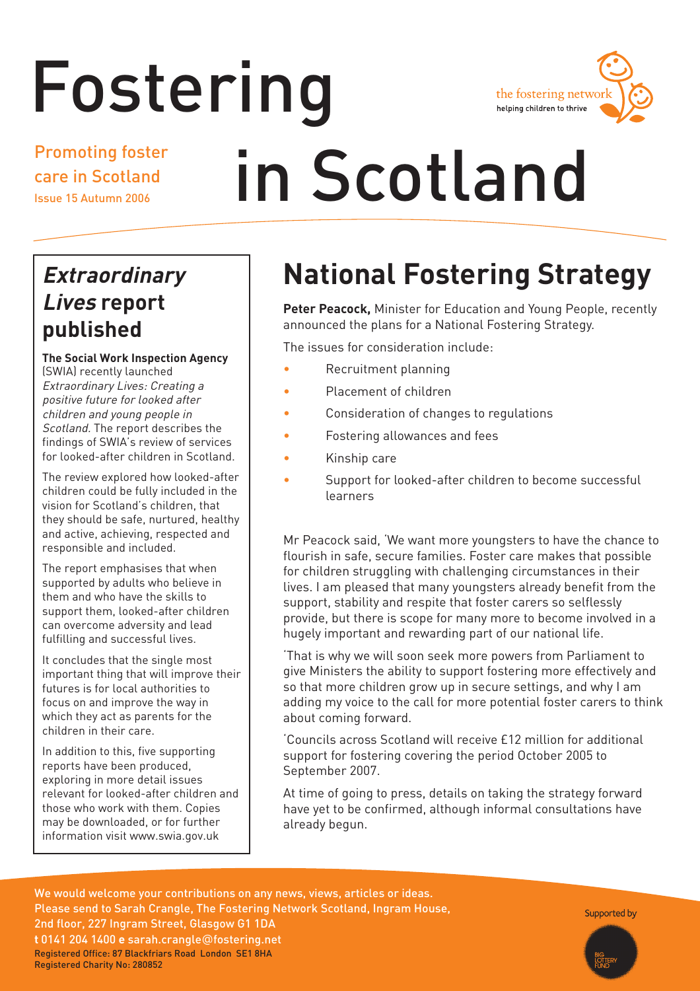# Fostering



Promoting foster care in Scotland Issue 15 Autumn 2006

# in Scotland

# **Extraordinary Lives report published**

**The Social Work Inspection Agency**

(SWIA) recently launched Extraordinary Lives: Creating a positive future for looked after children and young people in Scotland. The report describes the findings of SWIA's review of services for looked-after children in Scotland.

The review explored how looked-after children could be fully included in the vision for Scotland's children, that they should be safe, nurtured, healthy and active, achieving, respected and responsible and included.

The report emphasises that when supported by adults who believe in them and who have the skills to support them, looked-after children can overcome adversity and lead fulfilling and successful lives.

It concludes that the single most important thing that will improve their futures is for local authorities to focus on and improve the way in which they act as parents for the children in their care.

In addition to this, five supporting reports have been produced, exploring in more detail issues relevant for looked-after children and those who work with them. Copies may be downloaded, or for further information visit www.swia.gov.uk

# **National Fostering Strategy**

**Peter Peacock,** Minister for Education and Young People, recently announced the plans for a National Fostering Strategy.

The issues for consideration include:

- Recruitment planning
- Placement of children
- Consideration of changes to regulations
- Fostering allowances and fees
- Kinship care
- Support for looked-after children to become successful learners

Mr Peacock said, 'We want more youngsters to have the chance to flourish in safe, secure families. Foster care makes that possible for children struggling with challenging circumstances in their lives. I am pleased that many youngsters already benefit from the support, stability and respite that foster carers so selflessly provide, but there is scope for many more to become involved in a hugely important and rewarding part of our national life.

'That is why we will soon seek more powers from Parliament to give Ministers the ability to support fostering more effectively and so that more children grow up in secure settings, and why I am adding my voice to the call for more potential foster carers to think about coming forward.

'Councils across Scotland will receive £12 million for additional support for fostering covering the period October 2005 to September 2007.

At time of going to press, details on taking the strategy forward have yet to be confirmed, although informal consultations have already begun.

We would welcome your contributions on any news, views, articles or ideas. Please send to Sarah Crangle, The Fostering Network Scotland, Ingram House, 2nd floor, 227 Ingram Street, Glasgow G1 1DA **t** 0141 204 1400 **e** sarah.crangle@fostering.net Registered Office: 87 Blackfriars Road London SE1 8HA Registered Charity No: 280852

Supported by

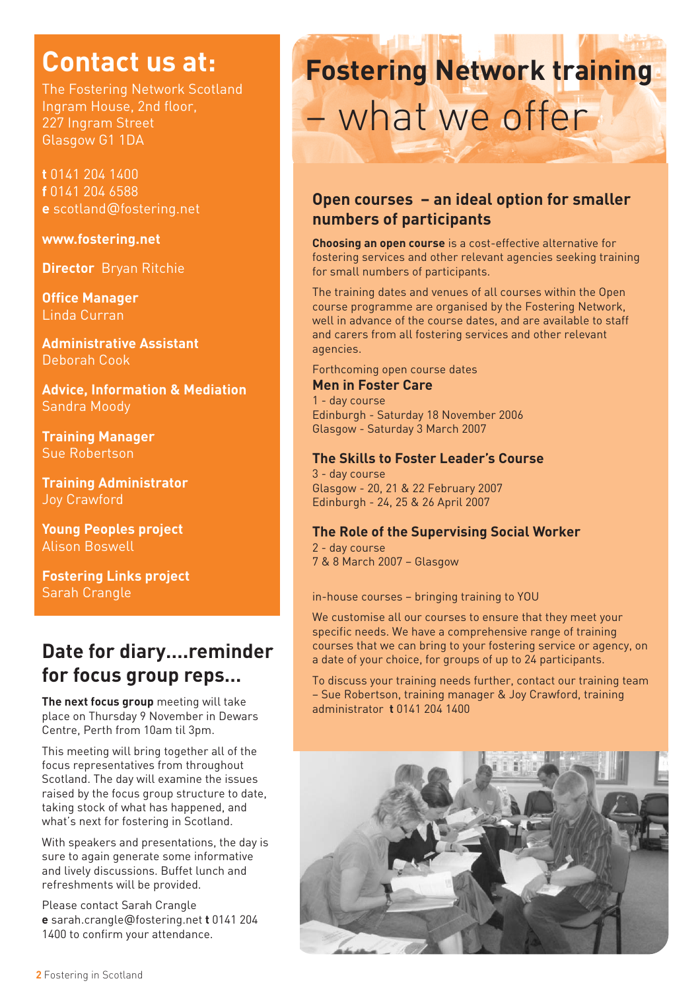# **Contact us at:**

The Fostering Network Scotland Ingram House, 2nd floor, 227 Ingram Street Glasgow G1 1DA

**t** 0141 204 1400 **f** 0141 204 6588 **e** scotland@fostering.net

#### **www.fostering.net**

**Director** Bryan Ritchie

**Office Manager** Linda Curran

**Administrative Assistant**  Deborah Cook

**Advice, Information & Mediation**  Sandra Moody

**Training Manager** Sue Robertson

**Training Administrator**  Joy Crawford

**Young Peoples project** Alison Boswell

**Fostering Links project** Sarah Crangle

## **Date for diary….reminder for focus group reps…**

**The next focus group** meeting will take place on Thursday 9 November in Dewars Centre, Perth from 10am til 3pm.

This meeting will bring together all of the focus representatives from throughout Scotland. The day will examine the issues raised by the focus group structure to date, taking stock of what has happened, and what's next for fostering in Scotland.

With speakers and presentations, the day is sure to again generate some informative and lively discussions. Buffet lunch and refreshments will be provided.

Please contact Sarah Crangle **e** sarah.crangle@fostering.net **t** 0141 204 1400 to confirm your attendance.

# **Fostering Network training**  – what we offer

## **Open courses – an ideal option for smaller numbers of participants**

**Choosing an open course** is a cost-effective alternative for fostering services and other relevant agencies seeking training for small numbers of participants.

The training dates and venues of all courses within the Open course programme are organised by the Fostering Network, well in advance of the course dates, and are available to staff and carers from all fostering services and other relevant agencies.

Forthcoming open course dates

### **Men in Foster Care**

1 - day course Edinburgh - Saturday 18 November 2006 Glasgow - Saturday 3 March 2007

### **The Skills to Foster Leader's Course**

3 - day course Glasgow - 20, 21 & 22 February 2007 Edinburgh - 24, 25 & 26 April 2007

### **The Role of the Supervising Social Worker**

2 - day course 7 & 8 March 2007 – Glasgow

in-house courses – bringing training to YOU

We customise all our courses to ensure that they meet your specific needs. We have a comprehensive range of training courses that we can bring to your fostering service or agency, on a date of your choice, for groups of up to 24 participants.

To discuss your training needs further, contact our training team – Sue Robertson, training manager & Joy Crawford, training administrator **t** 0141 204 1400

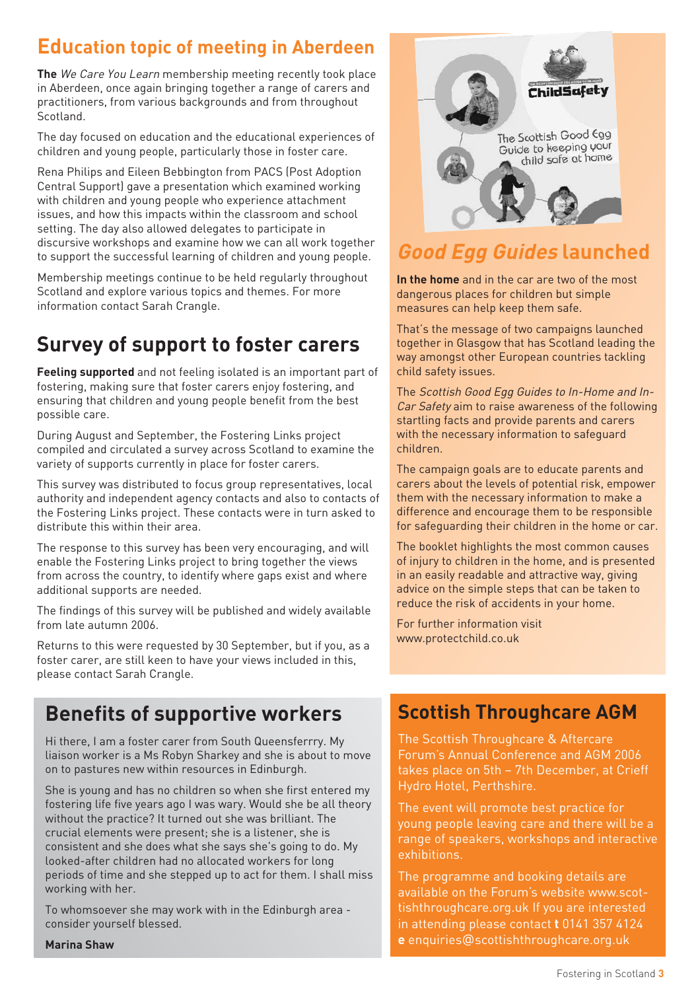## **Education topic of meeting in Aberdeen**

**The** We Care You Learn membership meeting recently took place in Aberdeen, once again bringing together a range of carers and practitioners, from various backgrounds and from throughout Scotland.

The day focused on education and the educational experiences of children and young people, particularly those in foster care.

Rena Philips and Eileen Bebbington from PACS (Post Adoption Central Support) gave a presentation which examined working with children and young people who experience attachment issues, and how this impacts within the classroom and school setting. The day also allowed delegates to participate in discursive workshops and examine how we can all work together to support the successful learning of children and young people.

Membership meetings continue to be held regularly throughout Scotland and explore various topics and themes. For more information contact Sarah Crangle.

# **Survey of support to foster carers**

**Feeling supported** and not feeling isolated is an important part of fostering, making sure that foster carers enjoy fostering, and ensuring that children and young people benefit from the best possible care.

During August and September, the Fostering Links project compiled and circulated a survey across Scotland to examine the variety of supports currently in place for foster carers.

This survey was distributed to focus group representatives, local authority and independent agency contacts and also to contacts of the Fostering Links project. These contacts were in turn asked to distribute this within their area.

The response to this survey has been very encouraging, and will enable the Fostering Links project to bring together the views from across the country, to identify where gaps exist and where additional supports are needed.

The findings of this survey will be published and widely available from late autumn 2006.

Returns to this were requested by 30 September, but if you, as a foster carer, are still keen to have your views included in this, please contact Sarah Crangle.

# **Benefits of supportive workers**

Hi there, I am a foster carer from South Queensferrry. My liaison worker is a Ms Robyn Sharkey and she is about to move on to pastures new within resources in Edinburgh.

She is young and has no children so when she first entered my fostering life five years ago I was wary. Would she be all theory without the practice? It turned out she was brilliant. The crucial elements were present; she is a listener, she is consistent and she does what she says she's going to do. My looked-after children had no allocated workers for long periods of time and she stepped up to act for them. I shall miss working with her.

To whomsoever she may work with in the Edinburgh area consider yourself blessed.

**Marina Shaw**



# **Good Egg Guides launched**

**In the home** and in the car are two of the most dangerous places for children but simple measures can help keep them safe.

That's the message of two campaigns launched together in Glasgow that has Scotland leading the way amongst other European countries tackling child safety issues.

The Scottish Good Egg Guides to In-Home and In-Car Safety aim to raise awareness of the following startling facts and provide parents and carers with the necessary information to safeguard children.

The campaign goals are to educate parents and carers about the levels of potential risk, empower them with the necessary information to make a difference and encourage them to be responsible for safeguarding their children in the home or car.

The booklet highlights the most common causes of injury to children in the home, and is presented in an easily readable and attractive way, giving advice on the simple steps that can be taken to reduce the risk of accidents in your home.

For further information visit www.protectchild.co.uk

## **Scottish Throughcare AGM**

The Scottish Throughcare & Aftercare Forum's Annual Conference and AGM 2006 takes place on 5th – 7th December, at Crieff Hydro Hotel, Perthshire.

The event will promote best practice for young people leaving care and there will be a range of speakers, workshops and interactive exhibitions.

The programme and booking details are available on the Forum's website www.scottishthroughcare.org.uk If you are interested in attending please contact **t** 0141 357 4124 **e** enquiries@scottishthroughcare.org.uk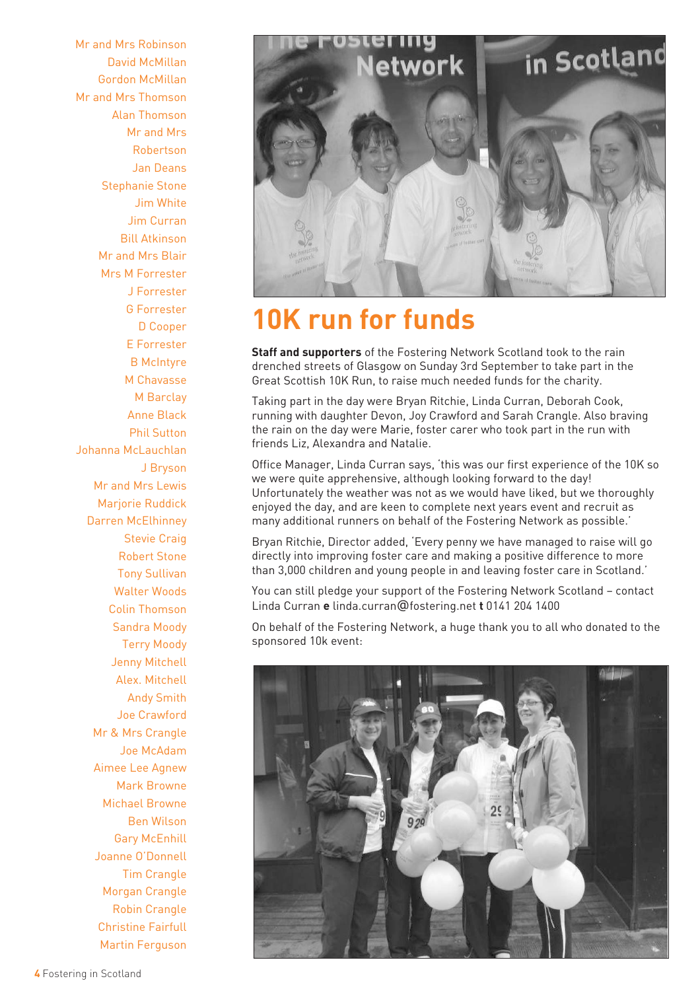Mr and Mrs Robinson David McMillan Gordon McMillan Mr and Mrs Thomson Alan Thomson Mr and Mrs Robertson Jan Deans Stephanie Stone Jim White Jim Curran Bill Atkinson Mr and Mrs Blair Mrs M Forrester J Forrester G Forrester D Cooper E Forrester B McIntyre M Chavasse M Barclay Anne Black Phil Sutton Johanna McLauchlan J Bryson Mr and Mrs Lewis Marjorie Ruddick Darren McElhinney Stevie Craig Robert Stone Tony Sullivan Walter Woods Colin Thomson Sandra Moody Terry Moody Jenny Mitchell Alex. Mitchell Andy Smith Joe Crawford Mr & Mrs Crangle Joe McAdam Aimee Lee Agnew Mark Browne Michael Browne Ben Wilson Gary McEnhill Joanne O'Donnell Tim Crangle Morgan Crangle Robin Crangle Christine Fairfull Martin Ferguson



# **10K run for funds**

**Staff and supporters** of the Fostering Network Scotland took to the rain drenched streets of Glasgow on Sunday 3rd September to take part in the Great Scottish 10K Run, to raise much needed funds for the charity.

Taking part in the day were Bryan Ritchie, Linda Curran, Deborah Cook, running with daughter Devon, Joy Crawford and Sarah Crangle. Also braving the rain on the day were Marie, foster carer who took part in the run with friends Liz, Alexandra and Natalie.

Office Manager, Linda Curran says, 'this was our first experience of the 10K so we were quite apprehensive, although looking forward to the day! Unfortunately the weather was not as we would have liked, but we thoroughly enjoyed the day, and are keen to complete next years event and recruit as many additional runners on behalf of the Fostering Network as possible.'

Bryan Ritchie, Director added, 'Every penny we have managed to raise will go directly into improving foster care and making a positive difference to more than 3,000 children and young people in and leaving foster care in Scotland.'

You can still pledge your support of the Fostering Network Scotland – contact Linda Curran **e** linda.curran@fostering.net **t** 0141 204 1400

On behalf of the Fostering Network, a huge thank you to all who donated to the sponsored 10k event:

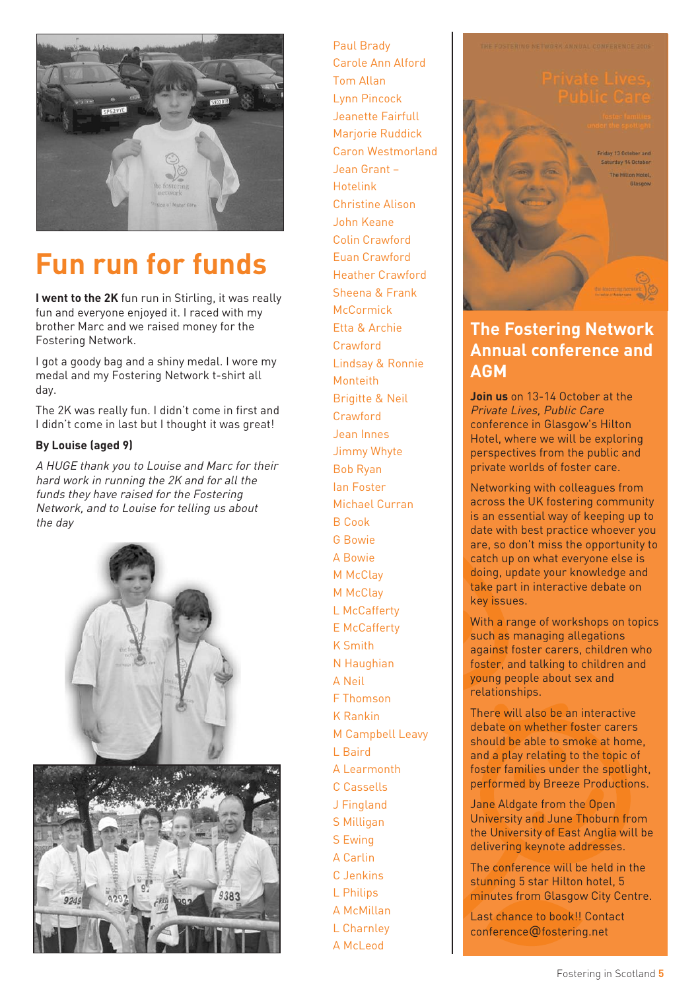

# **Fun run for funds**

**I went to the 2K** fun run in Stirling, it was really fun and everyone enjoyed it. I raced with my brother Marc and we raised money for the Fostering Network.

I got a goody bag and a shiny medal. I wore my medal and my Fostering Network t-shirt all day.

The 2K was really fun. I didn't come in first and I didn't come in last but I thought it was great!

#### **By Louise (aged 9)**

A HUGE thank you to Louise and Marc for their hard work in running the 2K and for all the funds they have raised for the Fostering Network, and to Louise for telling us about the day



Paul Brady Carole Ann Alford Tom Allan Lynn Pincock Jeanette Fairfull Marjorie Ruddick Caron Westmorland Jean Grant – Hotelink Christine Alison John Keane Colin Crawford Euan Crawford Heather Crawford Sheena & Frank McCormick Etta & Archie Crawford Lindsay & Ronnie Monteith Brigitte & Neil Crawford Jean Innes Jimmy Whyte Bob Ryan Ian Foster Michael Curran B Cook G Bowie A Bowie M McClay M McClav L McCafferty E McCafferty K Smith N Haughian A Neil F Thomson K Rankin M Campbell Leavy L Baird A Learmonth C Cassells J Fingland S Milligan S Ewing A Carlin C Jenkins L Philips A McMillan L Charnley A McLeod

he Hilton Hotel

## **The Fostering Network Annual conference and AGM**

**Join us** on 13-14 October at the Private Lives, Public Care conference in Glasgow's Hilton Hotel, where we will be exploring perspectives from the public and private worlds of foster care.

Networking with colleagues from across the UK fostering community is an essential way of keeping up to date with best practice whoever you are, so don't miss the opportunity to catch up on what everyone else is doing, update your knowledge and take part in interactive debate on key issues.

With a range of workshops on topics such as managing allegations against foster carers, children who foster, and talking to children and young people about sex and relationships.

There will also be an interactive debate on whether foster carers should be able to smoke at home, and a play relating to the topic of foster families under the spotlight, performed by Breeze Productions.

Jane Aldgate from the Open University and June Thoburn from the University of East Anglia will be delivering keynote addresses.

The conference will be held in the stunning 5 star Hilton hotel, 5 minutes from Glasgow City Centre.

Last chance to book!! Contact conference@fostering.net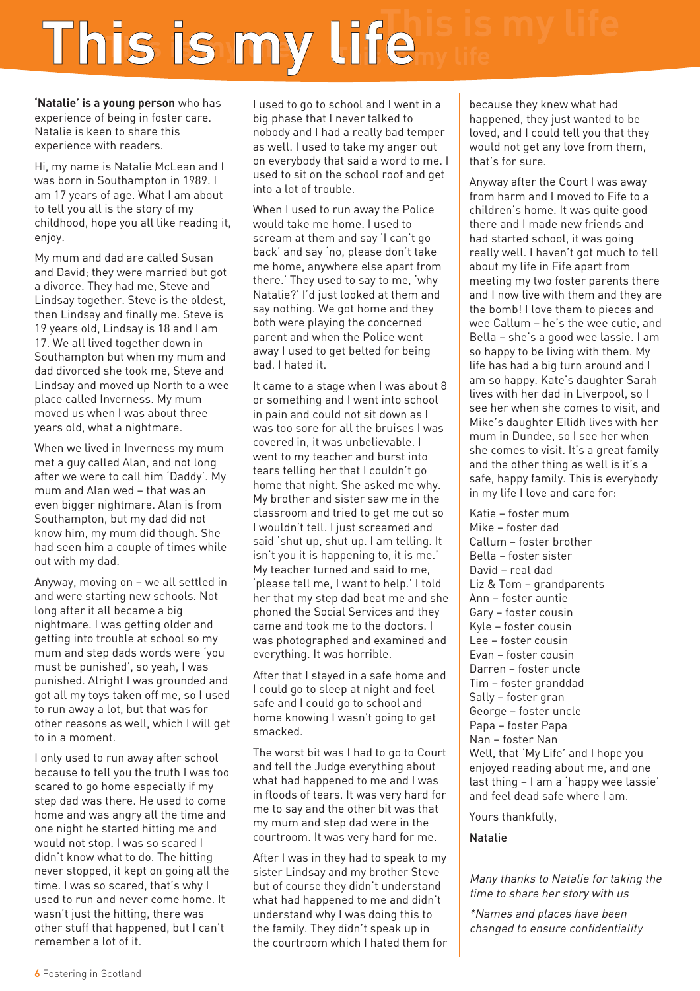# **This is my life**

**'Natalie' is a young person** who has experience of being in foster care. Natalie is keen to share this experience with readers.

Hi, my name is Natalie McLean and I was born in Southampton in 1989. I am 17 years of age. What I am about to tell you all is the story of my childhood, hope you all like reading it, enjoy.

My mum and dad are called Susan and David; they were married but got a divorce. They had me, Steve and Lindsay together. Steve is the oldest, then Lindsay and finally me. Steve is 19 years old, Lindsay is 18 and I am 17. We all lived together down in Southampton but when my mum and dad divorced she took me, Steve and Lindsay and moved up North to a wee place called Inverness. My mum moved us when I was about three years old, what a nightmare.

When we lived in Inverness my mum met a guy called Alan, and not long after we were to call him 'Daddy'. My mum and Alan wed – that was an even bigger nightmare. Alan is from Southampton, but my dad did not know him, my mum did though. She had seen him a couple of times while out with my dad.

Anyway, moving on – we all settled in and were starting new schools. Not long after it all became a big nightmare. I was getting older and getting into trouble at school so my mum and step dads words were 'you must be punished', so yeah, I was punished. Alright I was grounded and got all my toys taken off me, so I used to run away a lot, but that was for other reasons as well, which I will get to in a moment.

I only used to run away after school because to tell you the truth I was too scared to go home especially if my step dad was there. He used to come home and was angry all the time and one night he started hitting me and would not stop. I was so scared I didn't know what to do. The hitting never stopped, it kept on going all the time. I was so scared, that's why I used to run and never come home. It wasn't just the hitting, there was other stuff that happened, but I can't remember a lot of it.

I used to go to school and I went in a big phase that I never talked to nobody and I had a really bad temper as well. I used to take my anger out on everybody that said a word to me. I used to sit on the school roof and get into a lot of trouble.

When I used to run away the Police would take me home. I used to scream at them and say 'I can't go back' and say 'no, please don't take me home, anywhere else apart from there.' They used to say to me, 'why Natalie?' I'd just looked at them and say nothing. We got home and they both were playing the concerned parent and when the Police went away I used to get belted for being bad. I hated it.

It came to a stage when I was about 8 or something and I went into school in pain and could not sit down as I was too sore for all the bruises I was covered in, it was unbelievable. I went to my teacher and burst into tears telling her that I couldn't go home that night. She asked me why. My brother and sister saw me in the classroom and tried to get me out so I wouldn't tell. I just screamed and said 'shut up, shut up. I am telling. It isn't you it is happening to, it is me.' My teacher turned and said to me, 'please tell me, I want to help.' I told her that my step dad beat me and she phoned the Social Services and they came and took me to the doctors. I was photographed and examined and everything. It was horrible.

After that I stayed in a safe home and I could go to sleep at night and feel safe and I could go to school and home knowing I wasn't going to get smacked.

The worst bit was I had to go to Court and tell the Judge everything about what had happened to me and I was in floods of tears. It was very hard for me to say and the other bit was that my mum and step dad were in the courtroom. It was very hard for me.

After I was in they had to speak to my sister Lindsay and my brother Steve but of course they didn't understand what had happened to me and didn't understand why I was doing this to the family. They didn't speak up in the courtroom which I hated them for

because they knew what had happened, they just wanted to be loved, and I could tell you that they would not get any love from them, that's for sure.

Anyway after the Court I was away from harm and I moved to Fife to a children's home. It was quite good there and I made new friends and had started school, it was going really well. I haven't got much to tell about my life in Fife apart from meeting my two foster parents there and I now live with them and they are the bomb! I love them to pieces and wee Callum – he's the wee cutie, and Bella – she's a good wee lassie. I am so happy to be living with them. My life has had a big turn around and I am so happy. Kate's daughter Sarah lives with her dad in Liverpool, so I see her when she comes to visit, and Mike's daughter Eilidh lives with her mum in Dundee, so I see her when she comes to visit. It's a great family and the other thing as well is it's a safe, happy family. This is everybody in my life I love and care for:

Katie – foster mum Mike – foster dad Callum – foster brother Bella – foster sister David – real dad Liz & Tom – grandparents Ann – foster auntie Gary – foster cousin Kyle – foster cousin Lee – foster cousin Evan – foster cousin Darren – foster uncle Tim – foster granddad Sally – foster gran George – foster uncle Papa – foster Papa Nan – foster Nan Well, that 'My Life' and I hope you enjoyed reading about me, and one last thing – I am a 'happy wee lassie' and feel dead safe where I am.

Yours thankfully,

Natalie

Many thanks to Natalie for taking the time to share her story with us

\*Names and places have been changed to ensure confidentiality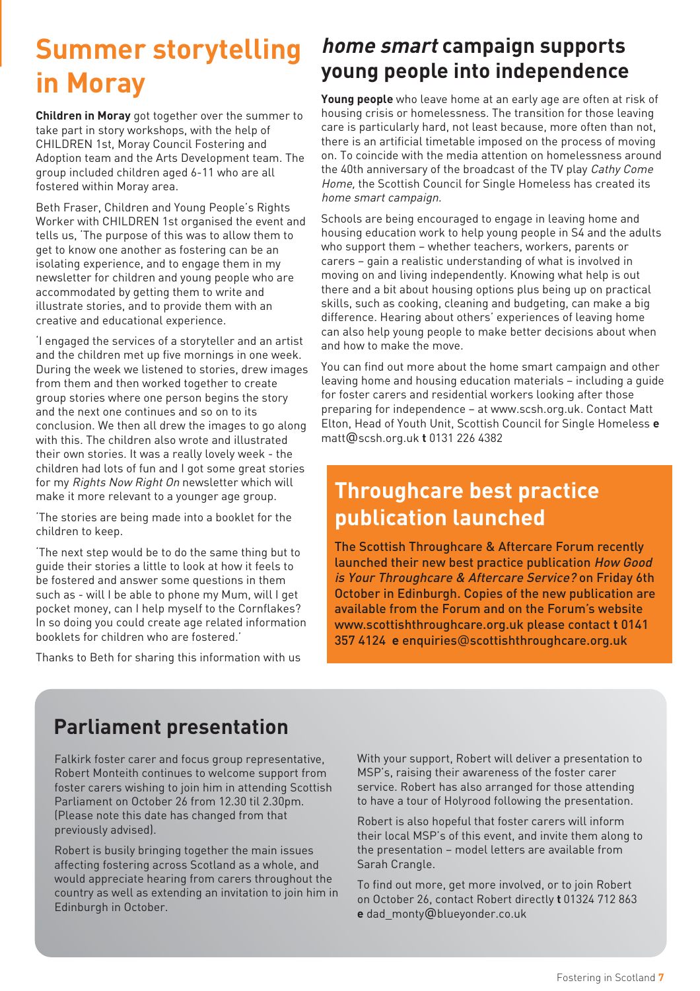# **Summer storytelling in Moray**

**Children in Moray** got together over the summer to take part in story workshops, with the help of CHILDREN 1st, Moray Council Fostering and Adoption team and the Arts Development team. The group included children aged 6-11 who are all fostered within Moray area.

Beth Fraser, Children and Young People's Rights Worker with CHILDREN 1st organised the event and tells us, 'The purpose of this was to allow them to get to know one another as fostering can be an isolating experience, and to engage them in my newsletter for children and young people who are accommodated by getting them to write and illustrate stories, and to provide them with an creative and educational experience.

'I engaged the services of a storyteller and an artist and the children met up five mornings in one week. During the week we listened to stories, drew images from them and then worked together to create group stories where one person begins the story and the next one continues and so on to its conclusion. We then all drew the images to go along with this. The children also wrote and illustrated their own stories. It was a really lovely week - the children had lots of fun and I got some great stories for my Rights Now Right On newsletter which will make it more relevant to a younger age group.

'The stories are being made into a booklet for the children to keep.

'The next step would be to do the same thing but to guide their stories a little to look at how it feels to be fostered and answer some questions in them such as - will I be able to phone my Mum, will I get pocket money, can I help myself to the Cornflakes? In so doing you could create age related information booklets for children who are fostered.'

Thanks to Beth for sharing this information with us

## **home smart campaign supports young people into independence**

**Young people** who leave home at an early age are often at risk of housing crisis or homelessness. The transition for those leaving care is particularly hard, not least because, more often than not, there is an artificial timetable imposed on the process of moving on. To coincide with the media attention on homelessness around the 40th anniversary of the broadcast of the TV play Cathy Come Home, the Scottish Council for Single Homeless has created its home smart campaign.

Schools are being encouraged to engage in leaving home and housing education work to help young people in S4 and the adults who support them – whether teachers, workers, parents or carers – gain a realistic understanding of what is involved in moving on and living independently. Knowing what help is out there and a bit about housing options plus being up on practical skills, such as cooking, cleaning and budgeting, can make a big difference. Hearing about others' experiences of leaving home can also help young people to make better decisions about when and how to make the move.

You can find out more about the home smart campaign and other leaving home and housing education materials – including a guide for foster carers and residential workers looking after those preparing for independence – at www.scsh.org.uk. Contact Matt Elton, Head of Youth Unit, Scottish Council for Single Homeless **e** matt@scsh.org.uk **t** 0131 226 4382

# **Throughcare best practice publication launched**

The Scottish Throughcare & Aftercare Forum recently launched their new best practice publication How Good is Your Throughcare & Aftercare Service? on Friday 6th October in Edinburgh. Copies of the new publication are available from the Forum and on the Forum's website www.scottishthroughcare.org.uk please contact **t** 0141 357 4124 **e** enquiries@scottishthroughcare.org.uk

# **Parliament presentation**

Falkirk foster carer and focus group representative, Robert Monteith continues to welcome support from foster carers wishing to join him in attending Scottish Parliament on October 26 from 12.30 til 2.30pm. (Please note this date has changed from that previously advised).

Robert is busily bringing together the main issues affecting fostering across Scotland as a whole, and would appreciate hearing from carers throughout the country as well as extending an invitation to join him in Edinburgh in October.

With your support, Robert will deliver a presentation to MSP's, raising their awareness of the foster carer service. Robert has also arranged for those attending to have a tour of Holyrood following the presentation.

Robert is also hopeful that foster carers will inform their local MSP's of this event, and invite them along to the presentation – model letters are available from Sarah Crangle.

To find out more, get more involved, or to join Robert on October 26, contact Robert directly **t** 01324 712 863 **e** dad\_monty@blueyonder.co.uk